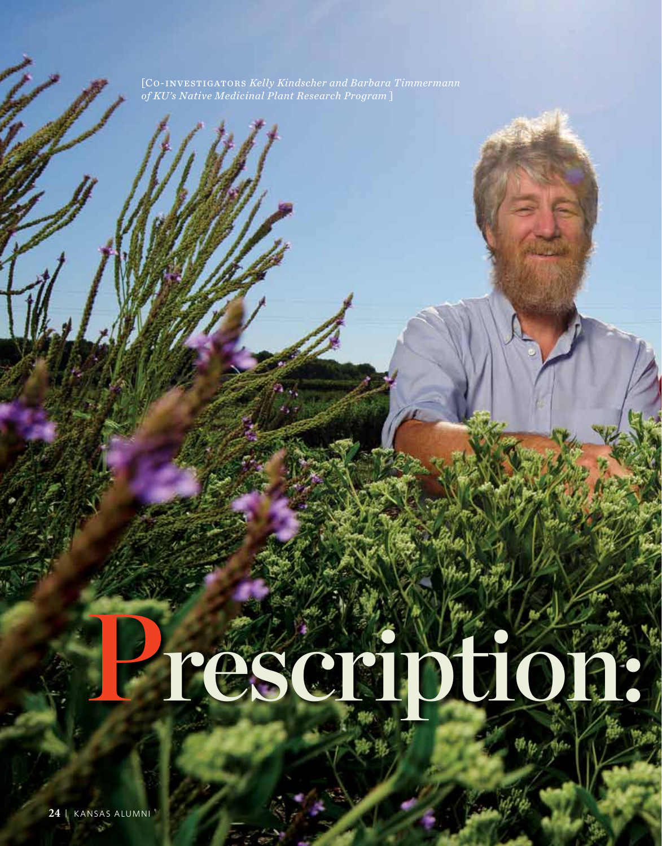[Co-investigators *Kelly Kindscher and Barbara Timmermann of KU's Native Medicinal Plant Research Program* ]

# Prescription: Prairie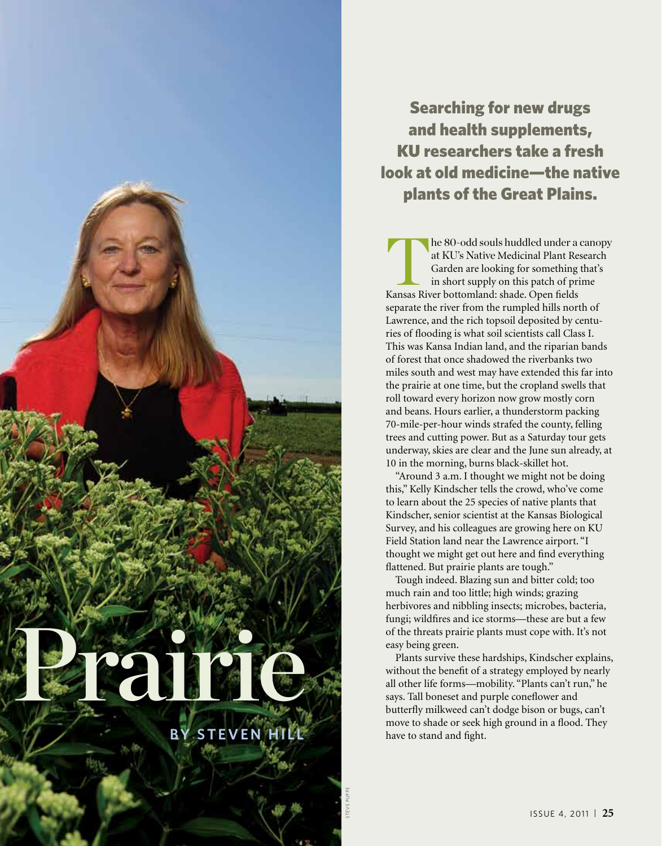

# Searching for new drugs and health supplements, KU researchers take a fresh look at old medicine—the native plants of the Great Plains.

The 80-odd souls huddled under a canopy at KU's Native Medicinal Plant Research Garden are looking for something that's in short supply on this patch of prime Kansas River bottomland: shade. Open fields at KU's Native Medicinal Plant Research Garden are looking for something that's in short supply on this patch of prime separate the river from the rumpled hills north of Lawrence, and the rich topsoil deposited by centuries of flooding is what soil scientists call Class I. This was Kansa Indian land, and the riparian bands of forest that once shadowed the riverbanks two miles south and west may have extended this far into the prairie at one time, but the cropland swells that roll toward every horizon now grow mostly corn and beans. Hours earlier, a thunderstorm packing 70-mile-per-hour winds strafed the county, felling trees and cutting power. But as a Saturday tour gets underway, skies are clear and the June sun already, at 10 in the morning, burns black-skillet hot.

"Around 3 a.m. I thought we might not be doing this," Kelly Kindscher tells the crowd, who've come to learn about the 25 species of native plants that Kindscher, senior scientist at the Kansas Biological Survey, and his colleagues are growing here on KU Field Station land near the Lawrence airport. "I thought we might get out here and find everything flattened. But prairie plants are tough."

Tough indeed. Blazing sun and bitter cold; too much rain and too little; high winds; grazing herbivores and nibbling insects; microbes, bacteria, fungi; wildfires and ice storms—these are but a few of the threats prairie plants must cope with. It's not easy being green.

Plants survive these hardships, Kindscher explains, without the benefit of a strategy employed by nearly all other life forms—mobility. "Plants can't run," he says. Tall boneset and purple coneflower and butterfly milkweed can't dodge bison or bugs, can't move to shade or seek high ground in a flood. They have to stand and fight.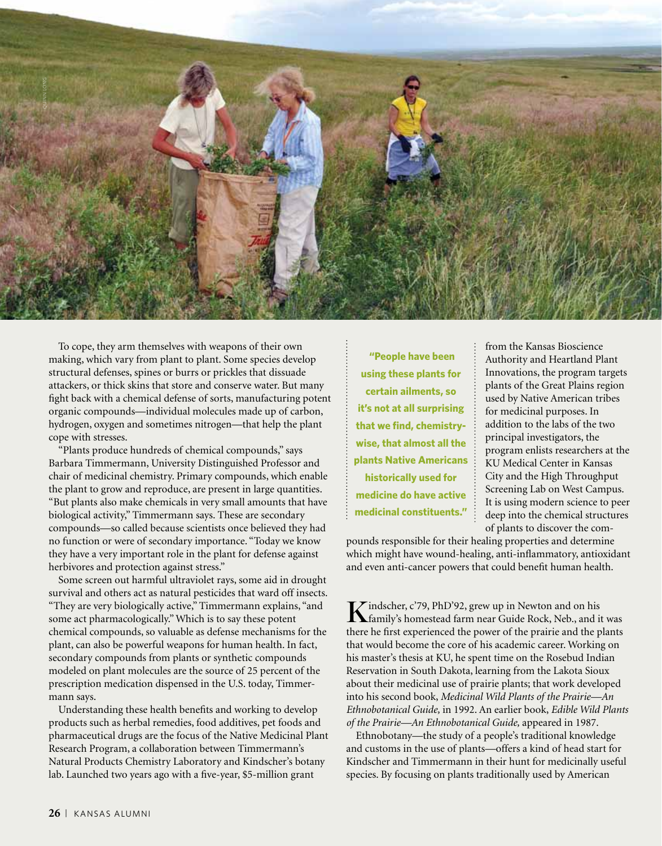

To cope, they arm themselves with weapons of their own making, which vary from plant to plant. Some species develop structural defenses, spines or burrs or prickles that dissuade attackers, or thick skins that store and conserve water. But many fight back with a chemical defense of sorts, manufacturing potent organic compounds—individual molecules made up of carbon, hydrogen, oxygen and sometimes nitrogen—that help the plant cope with stresses.

"Plants produce hundreds of chemical compounds," says Barbara Timmermann, University Distinguished Professor and chair of medicinal chemistry. Primary compounds, which enable the plant to grow and reproduce, are present in large quantities. "But plants also make chemicals in very small amounts that have biological activity," Timmermann says. These are secondary compounds—so called because scientists once believed they had no function or were of secondary importance. "Today we know they have a very important role in the plant for defense against herbivores and protection against stress."

Some screen out harmful ultraviolet rays, some aid in drought survival and others act as natural pesticides that ward off insects. "They are very biologically active," Timmermann explains, "and some act pharmacologically." Which is to say these potent chemical compounds, so valuable as defense mechanisms for the plant, can also be powerful weapons for human health. In fact, secondary compounds from plants or synthetic compounds modeled on plant molecules are the source of 25 percent of the prescription medication dispensed in the U.S. today, Timmermann says.

Understanding these health benefits and working to develop products such as herbal remedies, food additives, pet foods and pharmaceutical drugs are the focus of the Native Medicinal Plant Research Program, a collaboration between Timmermann's Natural Products Chemistry Laboratory and Kindscher's botany lab. Launched two years ago with a five-year, \$5-million grant

 **"People have been using these plants for certain ailments, so it's not at all surprising that we find, chemistrywise, that almost all the plants Native Americans historically used for medicine do have active medicinal constituents."** from the Kansas Bioscience Authority and Heartland Plant Innovations, the program targets plants of the Great Plains region used by Native American tribes for medicinal purposes. In addition to the labs of the two principal investigators, the program enlists researchers at the KU Medical Center in Kansas City and the High Throughput Screening Lab on West Campus. It is using modern science to peer deep into the chemical structures of plants to discover the com-

pounds responsible for their healing properties and determine which might have wound-healing, anti-inflammatory, antioxidant and even anti-cancer powers that could benefit human health.

Kindscher, c'79, PhD'92, grew up in Newton and on his family's homestead farm near Guide Rock, Neb., and it was there he first experienced the power of the prairie and the plants that would become the core of his academic career. Working on his master's thesis at KU, he spent time on the Rosebud Indian Reservation in South Dakota, learning from the Lakota Sioux about their medicinal use of prairie plants; that work developed into his second book, *Medicinal Wild Plants of the Prairie—An Ethnobotanical Guide,* in 1992. An earlier book, *Edible Wild Plants of the Prairie—An Ethnobotanical Guide,* appeared in 1987.

Ethnobotany—the study of a people's traditional knowledge and customs in the use of plants—offers a kind of head start for Kindscher and Timmermann in their hunt for medicinally useful species. By focusing on plants traditionally used by American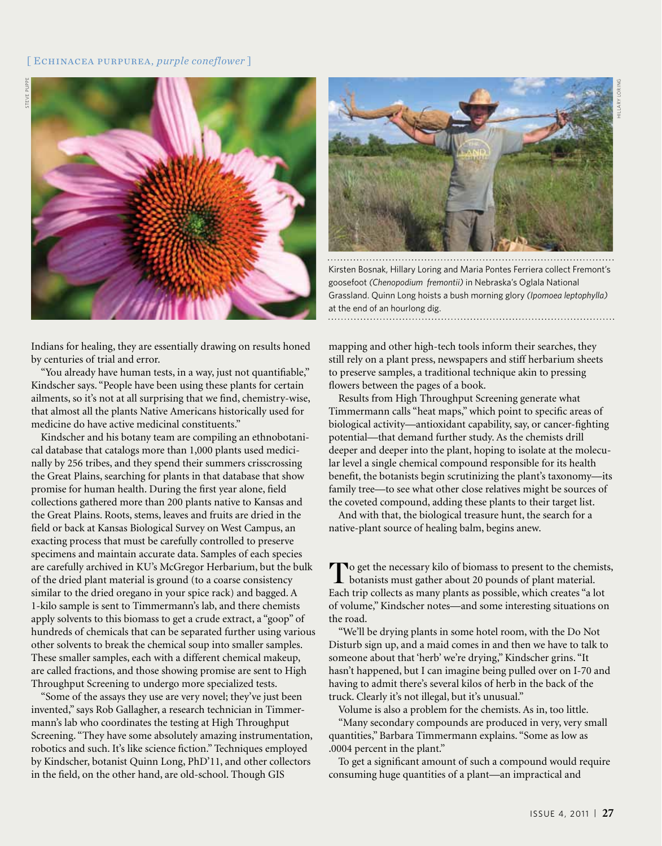### [ Echinacea purpurea, *purple coneflower* ]



Indians for healing, they are essentially drawing on results honed by centuries of trial and error.

"You already have human tests, in a way, just not quantifiable," Kindscher says. "People have been using these plants for certain ailments, so it's not at all surprising that we find, chemistry-wise, that almost all the plants Native Americans historically used for medicine do have active medicinal constituents."

Kindscher and his botany team are compiling an ethnobotanical database that catalogs more than 1,000 plants used medicinally by 256 tribes, and they spend their summers crisscrossing the Great Plains, searching for plants in that database that show promise for human health. During the first year alone, field collections gathered more than 200 plants native to Kansas and the Great Plains. Roots, stems, leaves and fruits are dried in the field or back at Kansas Biological Survey on West Campus, an exacting process that must be carefully controlled to preserve specimens and maintain accurate data. Samples of each species are carefully archived in KU's McGregor Herbarium, but the bulk of the dried plant material is ground (to a coarse consistency similar to the dried oregano in your spice rack) and bagged. A 1-kilo sample is sent to Timmermann's lab, and there chemists apply solvents to this biomass to get a crude extract, a "goop" of hundreds of chemicals that can be separated further using various other solvents to break the chemical soup into smaller samples. These smaller samples, each with a different chemical makeup, are called fractions, and those showing promise are sent to High Throughput Screening to undergo more specialized tests.

"Some of the assays they use are very novel; they've just been invented," says Rob Gallagher, a research technician in Timmermann's lab who coordinates the testing at High Throughput Screening. "They have some absolutely amazing instrumentation, robotics and such. It's like science fiction." Techniques employed by Kindscher, botanist Quinn Long, PhD'11, and other collectors in the field, on the other hand, are old-school. Though GIS



Kirsten Bosnak, Hillary Loring and Maria Pontes Ferriera collect Fremont's goosefoot *(Chenopodium fremontii)* in Nebraska's Oglala National Grassland. Quinn Long hoists a bush morning glory *(Ipomoea leptophylla)* at the end of an hourlong dig.

mapping and other high-tech tools inform their searches, they still rely on a plant press, newspapers and stiff herbarium sheets to preserve samples, a traditional technique akin to pressing flowers between the pages of a book.

Results from High Throughput Screening generate what Timmermann calls "heat maps," which point to specific areas of biological activity—antioxidant capability, say, or cancer-fighting potential—that demand further study. As the chemists drill deeper and deeper into the plant, hoping to isolate at the molecular level a single chemical compound responsible for its health benefit, the botanists begin scrutinizing the plant's taxonomy—its family tree—to see what other close relatives might be sources of the coveted compound, adding these plants to their target list.

And with that, the biological treasure hunt, the search for a native-plant source of healing balm, begins anew.

To get the necessary kilo of biomass to present to the chemists, botanists must gather about 20 pounds of plant material. Each trip collects as many plants as possible, which creates "a lot of volume," Kindscher notes—and some interesting situations on the road.

"We'll be drying plants in some hotel room, with the Do Not Disturb sign up, and a maid comes in and then we have to talk to someone about that 'herb' we're drying," Kindscher grins. "It hasn't happened, but I can imagine being pulled over on I-70 and having to admit there's several kilos of herb in the back of the truck. Clearly it's not illegal, but it's unusual."

Volume is also a problem for the chemists. As in, too little.

"Many secondary compounds are produced in very, very small quantities," Barbara Timmermann explains. "Some as low as .0004 percent in the plant."

To get a significant amount of such a compound would require consuming huge quantities of a plant—an impractical and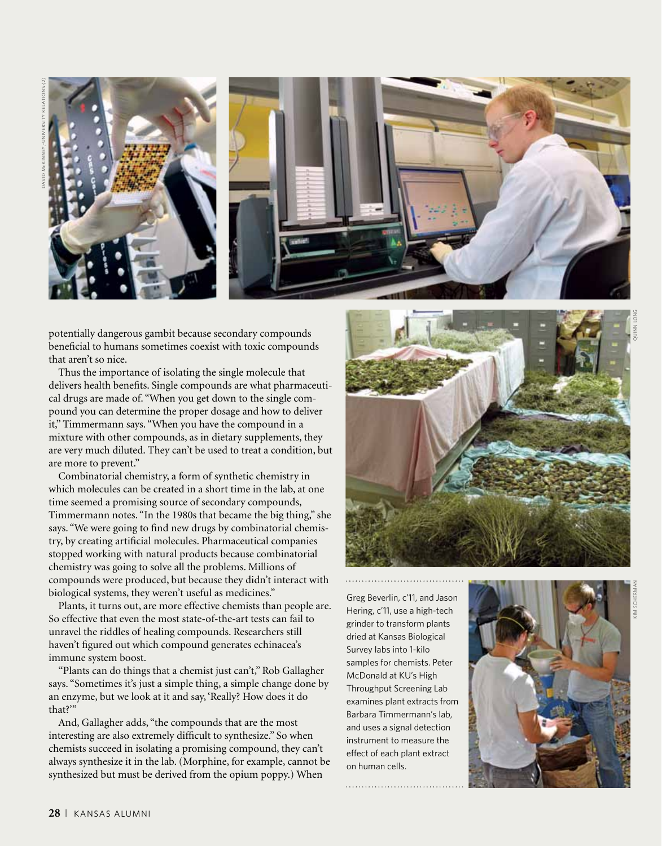

potentially dangerous gambit because secondary compounds beneficial to humans sometimes coexist with toxic compounds that aren't so nice.

Thus the importance of isolating the single molecule that delivers health benefits. Single compounds are what pharmaceuti cal drugs are made of. "When you get down to the single com pound you can determine the proper dosage and how to deliver it," Timmermann says. "When you have the compound in a mixture with other compounds, as in dietary supplements, they are very much diluted. They can't be used to treat a condition, but are more to prevent."

Combinatorial chemistry, a form of synthetic chemistry in which molecules can be created in a short time in the lab, at one time seemed a promising source of secondary compounds, Timmermann notes. "In the 1980s that became the big thing," she says. "We were going to find new drugs by combinatorial chemis try, by creating artificial molecules. Pharmaceutical companies stopped working with natural products because combinatorial chemistry was going to solve all the problems. Millions of compounds were produced, but because they didn't interact with biological systems, they weren't useful as medicines."

Plants, it turns out, are more effective chemists than people are. So effective that even the most state-of-the-art tests can fail to unravel the riddles of healing compounds. Researchers still haven't figured out which compound generates echinacea's immune system boost.

"Plants can do things that a chemist just can't," Rob Gallagher says. "Sometimes it's just a simple thing, a simple change done by an enzyme, but we look at it and say, 'Really? How does it do that?'"

And, Gallagher adds, "the compounds that are the most interesting are also extremely difficult to synthesize." So when chemists succeed in isolating a promising compound, they can't always synthesize it in the lab. (Morphine, for example, cannot be synthesized but must be derived from the opium poppy.) When



. . . . . . . . . . . . . . . . . . . .

Greg Beverlin, c'11, and Jason Hering, c'11, use a high-tech grinder to transform plants dried at Kansas Biological Survey labs into 1-kilo samples for chemists. Peter<br>McDonald at KU's High Throughput Screening Lab examines plant extracts from Barbara Timmermann's lab, and uses a signal detection instrument to measure the effect of each plant extract on human cells.



Quinn Long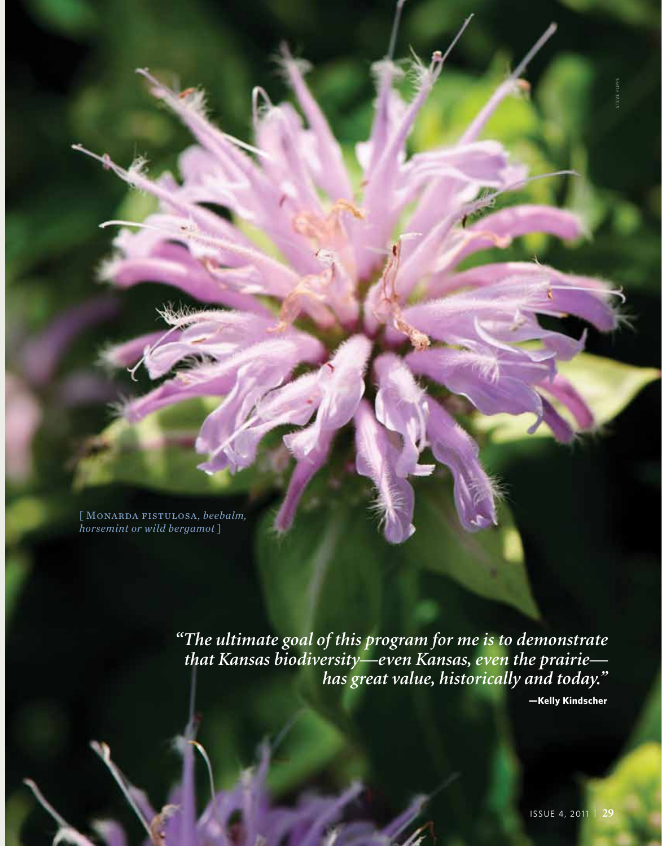[ Monarda fistulosa, *beebalm, horsemint or wild bergamot* ]

> *"The ultimate goal of this program for me is to demonstrate that Kansas biodiversity—even Kansas, even the prairie has great value, historically and today."*

> > **—Kelly Kindscher**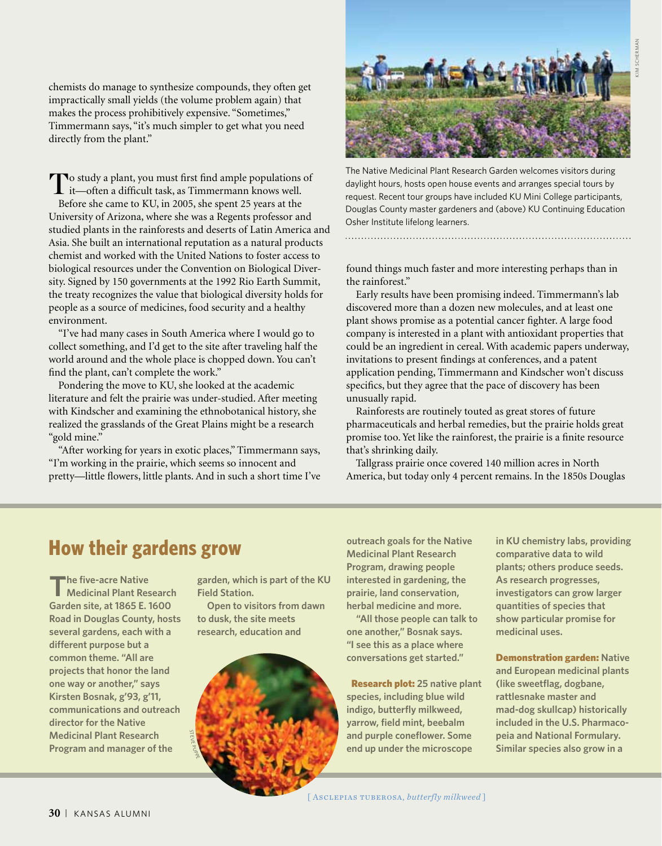chemists do manage to synthesize compounds, they often get impractically small yields (the volume problem again) that makes the process prohibitively expensive. "Sometimes," Timmermann says, "it's much simpler to get what you need directly from the plant."

To study a plant, you must first find ample populations of it—often a difficult task, as Timmermann knows well. Before she came to KU, in 2005, she spent 25 years at the University of Arizona, where she was a Regents professor and studied plants in the rainforests and deserts of Latin America and Asia. She built an international reputation as a natural products chemist and worked with the United Nations to foster access to biological resources under the Convention on Biological Diversity. Signed by 150 governments at the 1992 Rio Earth Summit, the treaty recognizes the value that biological diversity holds for people as a source of medicines, food security and a healthy environment.

"I've had many cases in South America where I would go to collect something, and I'd get to the site after traveling half the world around and the whole place is chopped down. You can't find the plant, can't complete the work."

Pondering the move to KU, she looked at the academic literature and felt the prairie was under-studied. After meeting with Kindscher and examining the ethnobotanical history, she realized the grasslands of the Great Plains might be a research "gold mine."

"After working for years in exotic places," Timmermann says, "I'm working in the prairie, which seems so innocent and pretty—little flowers, little plants. And in such a short time I've



The Native Medicinal Plant Research Garden welcomes visitors during daylight hours, hosts open house events and arranges special tours by request. Recent tour groups have included KU Mini College participants, Douglas County master gardeners and (above) KU Continuing Education Osher Institute lifelong learners.

found things much faster and more interesting perhaps than in the rainforest."

Early results have been promising indeed. Timmermann's lab discovered more than a dozen new molecules, and at least one plant shows promise as a potential cancer fighter. A large food company is interested in a plant with antioxidant properties that could be an ingredient in cereal. With academic papers underway, invitations to present findings at conferences, and a patent application pending, Timmermann and Kindscher won't discuss specifics, but they agree that the pace of discovery has been unusually rapid.

Rainforests are routinely touted as great stores of future pharmaceuticals and herbal remedies, but the prairie holds great promise too. Yet like the rainforest, the prairie is a finite resource that's shrinking daily.

Tallgrass prairie once covered 140 million acres in North America, but today only 4 percent remains. In the 1850s Douglas

# **How their gardens grow**

**The five-acre Native Medicinal Plant Research Garden site, at 1865 E. 1600 Road in Douglas County, hosts several gardens, each with a different purpose but a common theme. "All are projects that honor the land one way or another," says Kirsten Bosnak, g'93, g'11, communications and outreach director for the Native Medicinal Plant Research Program and manager of the** 

**garden, which is part of the KU Field Station.**

**Open to visitors from dawn to dusk, the site meets research, education and** 



**outreach goals for the Native Medicinal Plant Research Program, drawing people interested in gardening, the prairie, land conservation, herbal medicine and more.**

**"All those people can talk to one another," Bosnak says. "I see this as a place where conversations get started."** 

Research plot: **25 native plant species, including blue wild indigo, butterfly milkweed, yarrow, field mint, beebalm and purple coneflower. Some end up under the microscope** 

**in KU chemistry labs, providing comparative data to wild plants; others produce seeds. As research progresses, investigators can grow larger quantities of species that show particular promise for medicinal uses.**

Demonstration garden: **Native and European medicinal plants (like sweetflag, dogbane, rattlesnake master and mad-dog skullcap) historically included in the U.S. Pharmacopeia and National Formulary. Similar species also grow in a** 

[ Asclepias tuberosa, *butterfly milkweed* ]